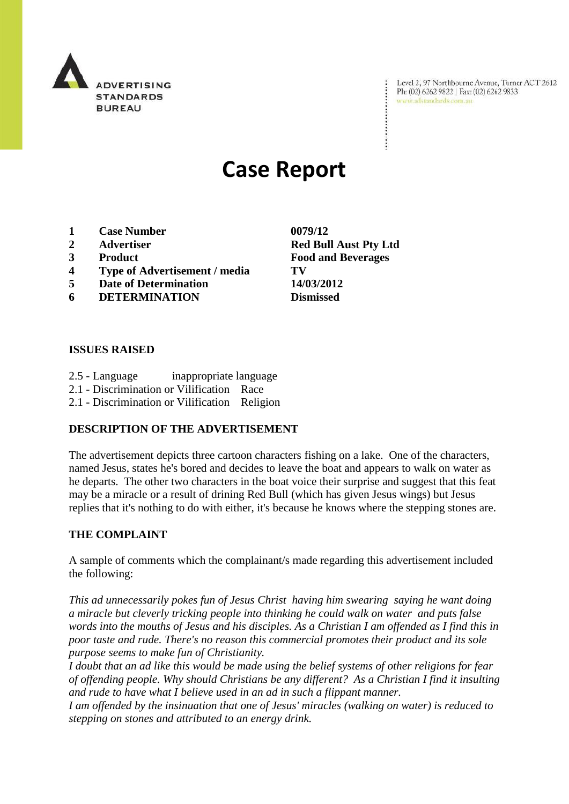

Level 2, 97 Northbourne Avenue, Turner ACT 2612 Ph: (02) 6262 9822 | Fax: (02) 6262 9833 www.adstandards.com.au

# **Case Report**

- **1 Case Number 0079/12**
- 
- 
- **4 Type of Advertisement / media TV**
- **5 Date of Determination 14/03/2012**
- **6 DETERMINATION Dismissed**

#### **ISSUES RAISED**

- 2.5 Language inappropriate language
- 2.1 Discrimination or Vilification Race
- 2.1 Discrimination or Vilification Religion

## **DESCRIPTION OF THE ADVERTISEMENT**

The advertisement depicts three cartoon characters fishing on a lake. One of the characters, named Jesus, states he's bored and decides to leave the boat and appears to walk on water as he departs. The other two characters in the boat voice their surprise and suggest that this feat may be a miracle or a result of drining Red Bull (which has given Jesus wings) but Jesus replies that it's nothing to do with either, it's because he knows where the stepping stones are.

#### **THE COMPLAINT**

A sample of comments which the complainant/s made regarding this advertisement included the following:

*This ad unnecessarily pokes fun of Jesus Christ having him swearing saying he want doing a miracle but cleverly tricking people into thinking he could walk on water and puts false words into the mouths of Jesus and his disciples. As a Christian I am offended as I find this in poor taste and rude. There's no reason this commercial promotes their product and its sole purpose seems to make fun of Christianity.* 

*I doubt that an ad like this would be made using the belief systems of other religions for fear of offending people. Why should Christians be any different? As a Christian I find it insulting and rude to have what I believe used in an ad in such a flippant manner.*

*I am offended by the insinuation that one of Jesus' miracles (walking on water) is reduced to stepping on stones and attributed to an energy drink.*

**2 Advertiser Red Bull Aust Pty Ltd 3 Product Food and Beverages**

 $\ddot{\cdot}$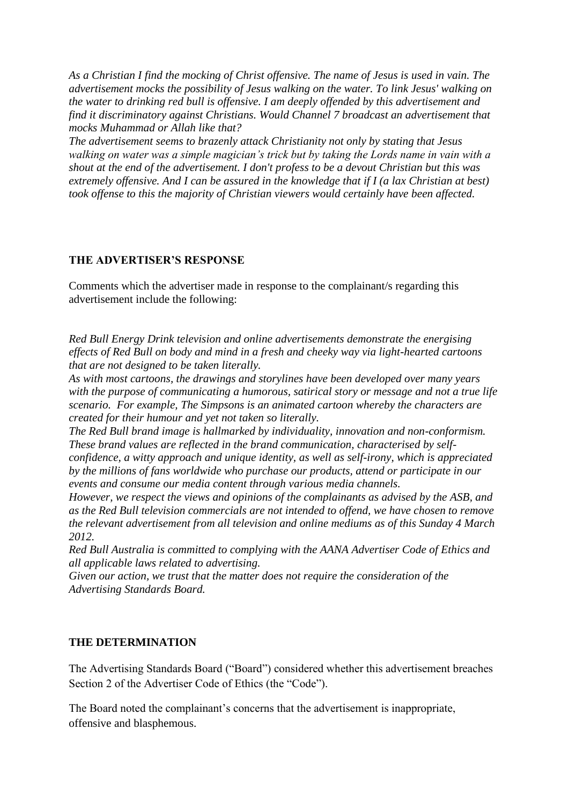*As a Christian I find the mocking of Christ offensive. The name of Jesus is used in vain. The advertisement mocks the possibility of Jesus walking on the water. To link Jesus' walking on the water to drinking red bull is offensive. I am deeply offended by this advertisement and find it discriminatory against Christians. Would Channel 7 broadcast an advertisement that mocks Muhammad or Allah like that?*

*The advertisement seems to brazenly attack Christianity not only by stating that Jesus walking on water was a simple magician's trick but by taking the Lords name in vain with a shout at the end of the advertisement. I don't profess to be a devout Christian but this was extremely offensive. And I can be assured in the knowledge that if I (a lax Christian at best) took offense to this the majority of Christian viewers would certainly have been affected.*

## **THE ADVERTISER'S RESPONSE**

Comments which the advertiser made in response to the complainant/s regarding this advertisement include the following:

*Red Bull Energy Drink television and online advertisements demonstrate the energising effects of Red Bull on body and mind in a fresh and cheeky way via light-hearted cartoons that are not designed to be taken literally.* 

*As with most cartoons, the drawings and storylines have been developed over many years with the purpose of communicating a humorous, satirical story or message and not a true life scenario. For example, The Simpsons is an animated cartoon whereby the characters are created for their humour and yet not taken so literally.*

*The Red Bull brand image is hallmarked by individuality, innovation and non-conformism. These brand values are reflected in the brand communication, characterised by selfconfidence, a witty approach and unique identity, as well as self-irony, which is appreciated by the millions of fans worldwide who purchase our products, attend or participate in our events and consume our media content through various media channels.*

*However, we respect the views and opinions of the complainants as advised by the ASB, and as the Red Bull television commercials are not intended to offend, we have chosen to remove the relevant advertisement from all television and online mediums as of this Sunday 4 March 2012.*

*Red Bull Australia is committed to complying with the AANA Advertiser Code of Ethics and all applicable laws related to advertising.* 

*Given our action, we trust that the matter does not require the consideration of the Advertising Standards Board.* 

# **THE DETERMINATION**

The Advertising Standards Board ("Board") considered whether this advertisement breaches Section 2 of the Advertiser Code of Ethics (the "Code").

The Board noted the complainant's concerns that the advertisement is inappropriate, offensive and blasphemous.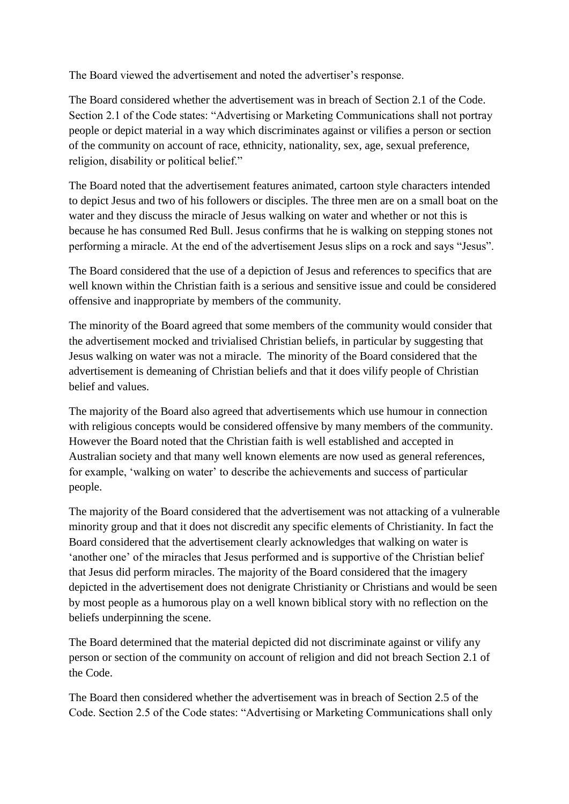The Board viewed the advertisement and noted the advertiser's response.

The Board considered whether the advertisement was in breach of Section 2.1 of the Code. Section 2.1 of the Code states: "Advertising or Marketing Communications shall not portray people or depict material in a way which discriminates against or vilifies a person or section of the community on account of race, ethnicity, nationality, sex, age, sexual preference, religion, disability or political belief."

The Board noted that the advertisement features animated, cartoon style characters intended to depict Jesus and two of his followers or disciples. The three men are on a small boat on the water and they discuss the miracle of Jesus walking on water and whether or not this is because he has consumed Red Bull. Jesus confirms that he is walking on stepping stones not performing a miracle. At the end of the advertisement Jesus slips on a rock and says "Jesus".

The Board considered that the use of a depiction of Jesus and references to specifics that are well known within the Christian faith is a serious and sensitive issue and could be considered offensive and inappropriate by members of the community.

The minority of the Board agreed that some members of the community would consider that the advertisement mocked and trivialised Christian beliefs, in particular by suggesting that Jesus walking on water was not a miracle. The minority of the Board considered that the advertisement is demeaning of Christian beliefs and that it does vilify people of Christian belief and values.

The majority of the Board also agreed that advertisements which use humour in connection with religious concepts would be considered offensive by many members of the community. However the Board noted that the Christian faith is well established and accepted in Australian society and that many well known elements are now used as general references, for example, "walking on water" to describe the achievements and success of particular people.

The majority of the Board considered that the advertisement was not attacking of a vulnerable minority group and that it does not discredit any specific elements of Christianity. In fact the Board considered that the advertisement clearly acknowledges that walking on water is "another one" of the miracles that Jesus performed and is supportive of the Christian belief that Jesus did perform miracles. The majority of the Board considered that the imagery depicted in the advertisement does not denigrate Christianity or Christians and would be seen by most people as a humorous play on a well known biblical story with no reflection on the beliefs underpinning the scene.

The Board determined that the material depicted did not discriminate against or vilify any person or section of the community on account of religion and did not breach Section 2.1 of the Code.

The Board then considered whether the advertisement was in breach of Section 2.5 of the Code. Section 2.5 of the Code states: "Advertising or Marketing Communications shall only